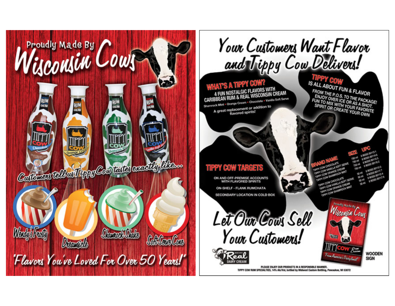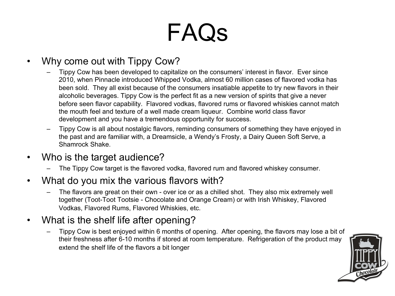## **FAQS**<br>Why come out with Tippy Cow?

- Tippy Cow has been developed to capitalize on the consumers' interest in flavor. Ever since 2010, when Pinnacle introduced Whipped Vodka, almost 60 million cases of flavored vodka has been sold. They all exist because of the consumers insatiable appetite to try new flavors in their alcoholic beverages. Tippy Cow is the perfect fit as a new version of spirits that give a never before seen flavor capability. Flavored vodkas, flavored rums or flavored whiskies cannot match the mouth feel and texture of a well made cream liqueur. Combine world class flavor development and you have a tremendous opportunity for success.
- Tippy Cow is all about nostalgic flavors, reminding consumers of something they have enjoyed in the past and are familiar with, a Dreamsicle, a Wendy's Frosty, a Dairy Queen Soft Serve, a Shamrock Shake.
- Who is the target audience?
	- The Tippy Cow target is the flavored vodka, flavored rum and flavored whiskey consumer.
- What do you mix the various flavors with?
	- The flavors are great on their own over ice or as a chilled shot. They also mix extremely well together (Toot-Toot Tootsie - Chocolate and Orange Cream) or with Irish Whiskey, Flavored Vodkas, Flavored Rums, Flavored Whiskies, etc.
- What is the shelf life after opening?
	- Tippy Cow is best enjoyed within 6 months of opening. After opening, the flavors may lose a bit of their freshness after 6-10 months if stored at room temperature. Refrigeration of the product may extend the shelf life of the flavors a bit longer